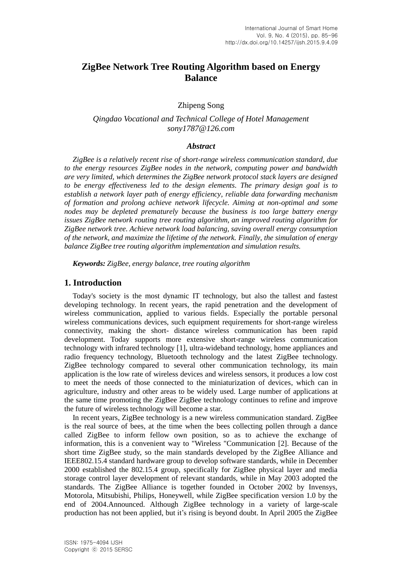# **ZigBee Network Tree Routing Algorithm based on Energy Balance**

Zhipeng Song

# *Qingdao Vocational and Technical College of Hotel Management sony1787@126.com*

### *Abstract*

*ZigBee is a relatively recent rise of short-range wireless communication standard, due to the energy resources ZigBee nodes in the network, computing power and bandwidth are very limited, which determines the ZigBee network protocol stack layers are designed to be energy effectiveness led to the design elements. The primary design goal is to establish a network layer path of energy efficiency, reliable data forwarding mechanism of formation and prolong achieve network lifecycle. Aiming at non-optimal and some nodes may be depleted prematurely because the business is too large battery energy issues ZigBee network routing tree routing algorithm, an improved routing algorithm for ZigBee network tree. Achieve network load balancing, saving overall energy consumption of the network, and maximize the lifetime of the network. Finally, the simulation of energy balance ZigBee tree routing algorithm implementation and simulation results.*

*Keywords: ZigBee, energy balance, tree routing algorithm*

# **1. Introduction**

Today's society is the most dynamic IT technology, but also the tallest and fastest developing technology. In recent years, the rapid penetration and the development of wireless communication, applied to various fields. Especially the portable personal wireless communications devices, such equipment requirements for short-range wireless connectivity, making the short- distance wireless communication has been rapid development. Today supports more extensive short-range wireless communication technology with infrared technology [1], ultra-wideband technology, home appliances and radio frequency technology, Bluetooth technology and the latest ZigBee technology. ZigBee technology compared to several other communication technology, its main application is the low rate of wireless devices and wireless sensors, it produces a low cost to meet the needs of those connected to the miniaturization of devices, which can in agriculture, industry and other areas to be widely used. Large number of applications at the same time promoting the ZigBee ZigBee technology continues to refine and improve the future of wireless technology will become a star.

In recent years, ZigBee technology is a new wireless communication standard. ZigBee is the real source of bees, at the time when the bees collecting pollen through a dance called ZigBee to inform fellow own position, so as to achieve the exchange of information, this is a convenient way to "Wireless "Communication [2]. Because of the short time ZigBee study, so the main standards developed by the ZigBee Alliance and IEEE802.15.4 standard hardware group to develop software standards, while in December 2000 established the 802.15.4 group, specifically for ZigBee physical layer and media storage control layer development of relevant standards, while in May 2003 adopted the standards. The ZigBee Alliance is together founded in October 2002 by Invensys, Motorola, Mitsubishi, Philips, Honeywell, while ZigBee specification version 1.0 by the end of 2004.Announced. Although ZigBee technology in a variety of large-scale production has not been applied, but it's rising is beyond doubt. In April 2005 the ZigBee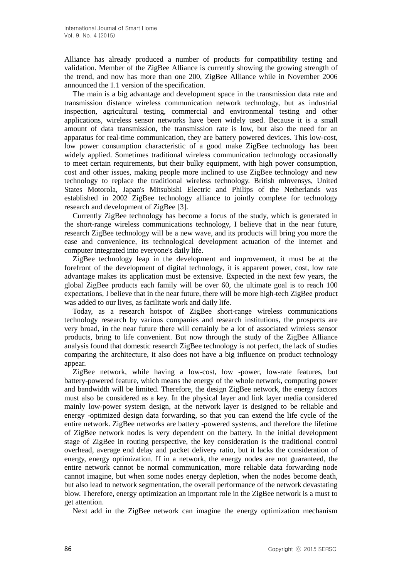Alliance has already produced a number of products for compatibility testing and validation. Member of the ZigBee Alliance is currently showing the growing strength of the trend, and now has more than one 200, ZigBee Alliance while in November 2006 announced the 1.1 version of the specification.

The main is a big advantage and development space in the transmission data rate and transmission distance wireless communication network technology, but as industrial inspection, agricultural testing, commercial and environmental testing and other applications, wireless sensor networks have been widely used. Because it is a small amount of data transmission, the transmission rate is low, but also the need for an apparatus for real-time communication, they are battery powered devices. This low-cost, low power consumption characteristic of a good make ZigBee technology has been widely applied. Sometimes traditional wireless communication technology occasionally to meet certain requirements, but their bulky equipment, with high power consumption, cost and other issues, making people more inclined to use ZigBee technology and new technology to replace the traditional wireless technology. British mlnvensys, United States Motorola, Japan's Mitsubishi Electric and Philips of the Netherlands was established in 2002 ZigBee technology alliance to jointly complete for technology research and development of ZigBee [3].

Currently ZigBee technology has become a focus of the study, which is generated in the short-range wireless communications technology, I believe that in the near future, research ZigBee technology will be a new wave, and its products will bring you more the ease and convenience, its technological development actuation of the Internet and computer integrated into everyone's daily life.

ZigBee technology leap in the development and improvement, it must be at the forefront of the development of digital technology, it is apparent power, cost, low rate advantage makes its application must be extensive. Expected in the next few years, the global ZigBee products each family will be over 60, the ultimate goal is to reach 100 expectations, I believe that in the near future, there will be more high-tech ZigBee product was added to our lives, as facilitate work and daily life.

Today, as a research hotspot of ZigBee short-range wireless communications technology research by various companies and research institutions, the prospects are very broad, in the near future there will certainly be a lot of associated wireless sensor products, bring to life convenient. But now through the study of the ZigBee Alliance analysis found that domestic research ZigBee technology is not perfect, the lack of studies comparing the architecture, it also does not have a big influence on product technology appear.

ZigBee network, while having a low-cost, low -power, low-rate features, but battery-powered feature, which means the energy of the whole network, computing power and bandwidth will be limited. Therefore, the design ZigBee network, the energy factors must also be considered as a key. In the physical layer and link layer media considered mainly low-power system design, at the network layer is designed to be reliable and energy -optimized design data forwarding, so that you can extend the life cycle of the entire network. ZigBee networks are battery -powered systems, and therefore the lifetime of ZigBee network nodes is very dependent on the battery. In the initial development stage of ZigBee in routing perspective, the key consideration is the traditional control overhead, average end delay and packet delivery ratio, but it lacks the consideration of energy, energy optimization. If in a network, the energy nodes are not guaranteed, the entire network cannot be normal communication, more reliable data forwarding node cannot imagine, but when some nodes energy depletion, when the nodes become death, but also lead to network segmentation, the overall performance of the network devastating blow. Therefore, energy optimization an important role in the ZigBee network is a must to get attention.

Next add in the ZigBee network can imagine the energy optimization mechanism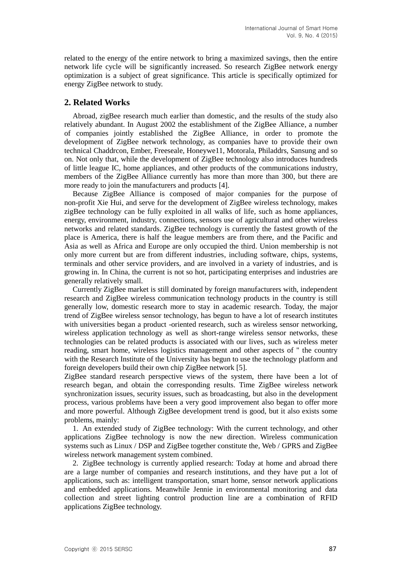related to the energy of the entire network to bring a maximized savings, then the entire network life cycle will be significantly increased. So research ZigBee network energy optimization is a subject of great significance. This article is specifically optimized for energy ZigBee network to study.

# **2. Related Works**

Abroad, zigBee research much earlier than domestic, and the results of the study also relatively abundant. In August 2002 the establishment of the ZigBee Alliance, a number of companies jointly established the ZigBee Alliance, in order to promote the development of ZigBee network technology, as companies have to provide their own technical Chaddrcon, Ember, Freeseale, Honeywe11, Motorala, Philaddrs, Sansung and so on. Not only that, while the development of ZigBee technology also introduces hundreds of little league IC, home appliances, and other products of the communications industry, members of the ZigBee Alliance currently has more than more than 300, but there are more ready to join the manufacturers and products [4].

Because ZigBee Alliance is composed of major companies for the purpose of non-profit Xie Hui, and serve for the development of ZigBee wireless technology, makes zigBee technology can be fully exploited in all walks of life, such as home appliances, energy, environment, industry, connections, sensors use of agricultural and other wireless networks and related standards. ZigBee technology is currently the fastest growth of the place is America, there is half the league members are from there, and the Pacific and Asia as well as Africa and Europe are only occupied the third. Union membership is not only more current but are from different industries, including software, chips, systems, terminals and other service providers, and are involved in a variety of industries, and is growing in. In China, the current is not so hot, participating enterprises and industries are generally relatively small.

Currently ZigBee market is still dominated by foreign manufacturers with, independent research and ZigBee wireless communication technology products in the country is still generally low, domestic research more to stay in academic research. Today, the major trend of ZigBee wireless sensor technology, has begun to have a lot of research institutes with universities began a product -oriented research, such as wireless sensor networking, wireless application technology as well as short-range wireless sensor networks, these technologies can be related products is associated with our lives, such as wireless meter reading, smart home, wireless logistics management and other aspects of " the country with the Research Institute of the University has begun to use the technology platform and foreign developers build their own chip ZigBee network [5].

ZigBee standard research perspective views of the system, there have been a lot of research began, and obtain the corresponding results. Time ZigBee wireless network synchronization issues, security issues, such as broadcasting, but also in the development process, various problems have been a very good improvement also began to offer more and more powerful. Although ZigBee development trend is good, but it also exists some problems, mainly:

1. An extended study of ZigBee technology: With the current technology, and other applications ZigBee technology is now the new direction. Wireless communication systems such as Linux / DSP and ZigBee together constitute the, Web / GPRS and ZigBee wireless network management system combined.

2. ZigBee technology is currently applied research: Today at home and abroad there are a large number of companies and research institutions, and they have put a lot of applications, such as: intelligent transportation, smart home, sensor network applications and embedded applications. Meanwhile Jennie in environmental monitoring and data collection and street lighting control production line are a combination of RFID applications ZigBee technology.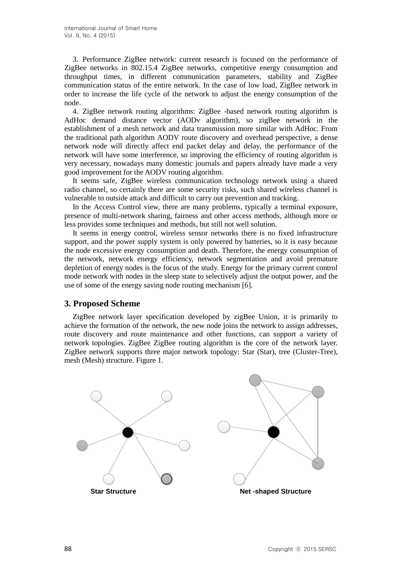3. Performance ZigBee network: current research is focused on the performance of ZigBee networks in 802.15.4 ZigBee networks, competitive energy consumption and throughput times, in different communication parameters, stability and ZigBee communication status of the entire network. In the case of low load, ZigBee network in order to increase the life cycle of the network to adjust the energy consumption of the node.

4. ZigBee network routing algorithms: ZigBee -based network routing algorithm is AdHoc demand distance vector (AODv algorithm), so zigBee network in the establishment of a mesh network and data transmission more similar with AdHoc. From the traditional path algorithm AODV route discovery and overhead perspective, a dense network node will directly affect end packet delay and delay, the performance of the network will have some interference, so improving the efficiency of routing algorithm is very necessary, nowadays many domestic journals and papers already have made a very good improvement for the AODV routing algorithm.

It seems safe, ZigBee wireless communication technology network using a shared radio channel, so certainly there are some security risks, such shared wireless channel is vulnerable to outside attack and difficult to carry out prevention and tracking.

In the Access Control view, there are many problems, typically a terminal exposure, presence of multi-network sharing, fairness and other access methods, although more or less provides some techniques and methods, but still not well solution.

It seems in energy control, wireless sensor networks there is no fixed infrastructure support, and the power supply system is only powered by batteries, so it is easy because the node excessive energy consumption and death. Therefore, the energy consumption of the network, network energy efficiency, network segmentation and avoid premature depletion of energy nodes is the focus of the study. Energy for the primary current control mode network with nodes in the sleep state to selectively adjust the output power, and the use of some of the energy saving node routing mechanism [6].

# **3. Proposed Scheme**

ZigBee network layer specification developed by zigBee Union, it is primarily to achieve the formation of the network, the new node joins the network to assign addresses, route discovery and route maintenance and other functions, can support a variety of network topologies. ZigBee ZigBee routing algorithm is the core of the network layer. ZigBee network supports three major network topology: Star (Star), tree (Cluster-Tree), mesh (Mesh) structure. Figure 1.

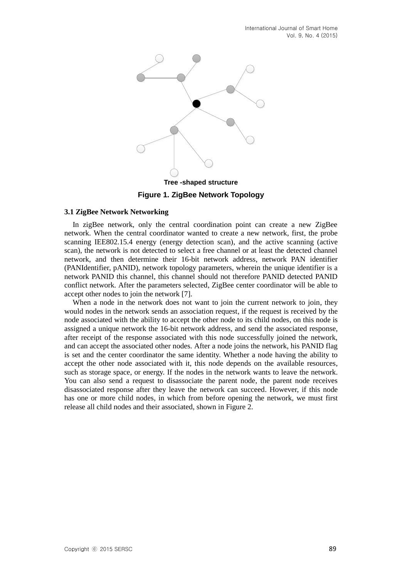

#### **3.1 ZigBee Network Networking**

In zigBee network, only the central coordination point can create a new ZigBee network. When the central coordinator wanted to create a new network, first, the probe scanning IEE802.15.4 energy (energy detection scan), and the active scanning (active scan), the network is not detected to select a free channel or at least the detected channel network, and then determine their 16-bit network address, network PAN identifier (PANIdentifier, pANID), network topology parameters, wherein the unique identifier is a network PANID this channel, this channel should not therefore PANID detected PANID conflict network. After the parameters selected, ZigBee center coordinator will be able to accept other nodes to join the network [7].

When a node in the network does not want to join the current network to join, they would nodes in the network sends an association request, if the request is received by the node associated with the ability to accept the other node to its child nodes, on this node is assigned a unique network the 16-bit network address, and send the associated response, after receipt of the response associated with this node successfully joined the network, and can accept the associated other nodes. After a node joins the network, his PANID flag is set and the center coordinator the same identity. Whether a node having the ability to accept the other node associated with it, this node depends on the available resources, such as storage space, or energy. If the nodes in the network wants to leave the network. You can also send a request to disassociate the parent node, the parent node receives disassociated response after they leave the network can succeed. However, if this node has one or more child nodes, in which from before opening the network, we must first release all child nodes and their associated, shown in Figure 2.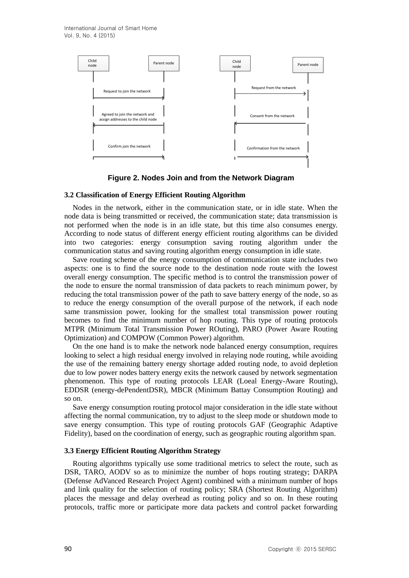International Journal of Smart Home Vol. 9, No. 4 (2015)



**Figure 2. Nodes Join and from the Network Diagram**

#### **3.2 Classification of Energy Efficient Routing Algorithm**

Nodes in the network, either in the communication state, or in idle state. When the node data is being transmitted or received, the communication state; data transmission is not performed when the node is in an idle state, but this time also consumes energy. According to node status of different energy efficient routing algorithms can be divided into two categories: energy consumption saving routing algorithm under the communication status and saving routing algorithm energy consumption in idle state.

Save routing scheme of the energy consumption of communication state includes two aspects: one is to find the source node to the destination node route with the lowest overall energy consumption. The specific method is to control the transmission power of the node to ensure the normal transmission of data packets to reach minimum power, by reducing the total transmission power of the path to save battery energy of the node, so as to reduce the energy consumption of the overall purpose of the network, if each node same transmission power, looking for the smallest total transmission power routing becomes to find the minimum number of hop routing. This type of routing protocols MTPR (Minimum Total Transmission Power ROuting), PARO (Power Aware Routing Optimization) and COMPOW (Common Power) algorithm.

On the one hand is to make the network node balanced energy consumption, requires looking to select a high residual energy involved in relaying node routing, while avoiding the use of the remaining battery energy shortage added routing node, to avoid depletion due to low power nodes battery energy exits the network caused by network segmentation phenomenon. This type of routing protocols LEAR (Loeal Energy-Aware Routing), EDDSR (energy-dePendentDSR), MBCR (Minimum Battay Consumption Routing) and so on.

Save energy consumption routing protocol major consideration in the idle state without affecting the normal communication, try to adjust to the sleep mode or shutdown mode to save energy consumption. This type of routing protocols GAF (Geographic Adaptive Fidelity), based on the coordination of energy, such as geographic routing algorithm span.

#### **3.3 Energy Efficient Routing Algorithm Strategy**

Routing algorithms typically use some traditional metrics to select the route, such as DSR, TARO, AODV so as to minimize the number of hops routing strategy; DARPA (Defense AdVanced Research Project Agent) combined with a minimum number of hops and link quality for the selection of routing policy; SRA (Shortest Routing Algorithm) places the message and delay overhead as routing policy and so on. In these routing protocols, traffic more or participate more data packets and control packet forwarding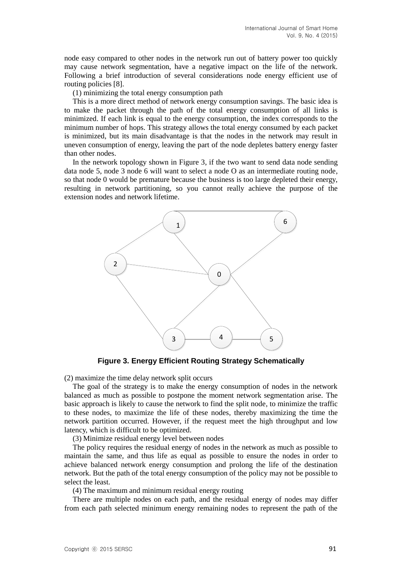node easy compared to other nodes in the network run out of battery power too quickly may cause network segmentation, have a negative impact on the life of the network. Following a brief introduction of several considerations node energy efficient use of routing policies [8].

(1) minimizing the total energy consumption path

This is a more direct method of network energy consumption savings. The basic idea is to make the packet through the path of the total energy consumption of all links is minimized. If each link is equal to the energy consumption, the index corresponds to the minimum number of hops. This strategy allows the total energy consumed by each packet is minimized, but its main disadvantage is that the nodes in the network may result in uneven consumption of energy, leaving the part of the node depletes battery energy faster than other nodes.

In the network topology shown in Figure 3, if the two want to send data node sending data node 5, node 3 node 6 will want to select a node O as an intermediate routing node, so that node 0 would be premature because the business is too large depleted their energy, resulting in network partitioning, so you cannot really achieve the purpose of the extension nodes and network lifetime.



**Figure 3. Energy Efficient Routing Strategy Schematically**

(2) maximize the time delay network split occurs

The goal of the strategy is to make the energy consumption of nodes in the network balanced as much as possible to postpone the moment network segmentation arise. The basic approach is likely to cause the network to find the split node, to minimize the traffic to these nodes, to maximize the life of these nodes, thereby maximizing the time the network partition occurred. However, if the request meet the high throughput and low latency, which is difficult to be optimized.

(3) Minimize residual energy level between nodes

The policy requires the residual energy of nodes in the network as much as possible to maintain the same, and thus life as equal as possible to ensure the nodes in order to achieve balanced network energy consumption and prolong the life of the destination network. But the path of the total energy consumption of the policy may not be possible to select the least.

(4) The maximum and minimum residual energy routing

There are multiple nodes on each path, and the residual energy of nodes may differ from each path selected minimum energy remaining nodes to represent the path of the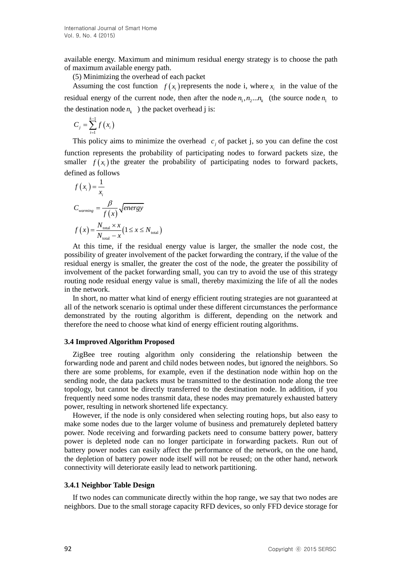available energy. Maximum and minimum residual energy strategy is to choose the path of maximum available energy path.

(5) Minimizing the overhead of each packet

Assuming the cost function  $f(x_i)$  represents the node i, where  $x_i$  in the value of the residual energy of the current node, then after the node  $n_1, n_2...n_k$  (the source node  $n_1$  to the destination node  $n_k$  ) the packet overhead j is:

$$
C_j = \sum_{i=1}^{k-1} f(x_i)
$$

This policy aims to minimize the overhead  $c_j$  of packet j, so you can define the cost function represents the probability of participating nodes to forward packets size, the smaller  $f(x_i)$  the greater the probability of participating nodes to forward packets, defined as follows

$$
f(x_i) = \frac{1}{x_i}
$$
  
\n
$$
C_{\text{warming}} = \frac{\beta}{f(x)} \sqrt{\text{energy}}
$$
  
\n
$$
f(x) = \frac{N_{\text{total}} \times x}{N_{\text{total}} - x} (1 \le x \le N_{\text{total}})
$$

At this time, if the residual energy value is larger, the smaller the node cost, the possibility of greater involvement of the packet forwarding the contrary, if the value of the residual energy is smaller, the greater the cost of the node, the greater the possibility of involvement of the packet forwarding small, you can try to avoid the use of this strategy routing node residual energy value is small, thereby maximizing the life of all the nodes in the network.

In short, no matter what kind of energy efficient routing strategies are not guaranteed at all of the network scenario is optimal under these different circumstances the performance demonstrated by the routing algorithm is different, depending on the network and therefore the need to choose what kind of energy efficient routing algorithms.

### **3.4 Improved Algorithm Proposed**

ZigBee tree routing algorithm only considering the relationship between the forwarding node and parent and child nodes between nodes, but ignored the neighbors. So there are some problems, for example, even if the destination node within hop on the sending node, the data packets must be transmitted to the destination node along the tree topology, but cannot be directly transferred to the destination node. In addition, if you frequently need some nodes transmit data, these nodes may prematurely exhausted battery power, resulting in network shortened life expectancy.

However, if the node is only considered when selecting routing hops, but also easy to make some nodes due to the larger volume of business and prematurely depleted battery power. Node receiving and forwarding packets need to consume battery power, battery power is depleted node can no longer participate in forwarding packets. Run out of battery power nodes can easily affect the performance of the network, on the one hand, the depletion of battery power node itself will not be reused; on the other hand, network connectivity will deteriorate easily lead to network partitioning.

### **3.4.1 Neighbor Table Design**

If two nodes can communicate directly within the hop range, we say that two nodes are neighbors. Due to the small storage capacity RFD devices, so only FFD device storage for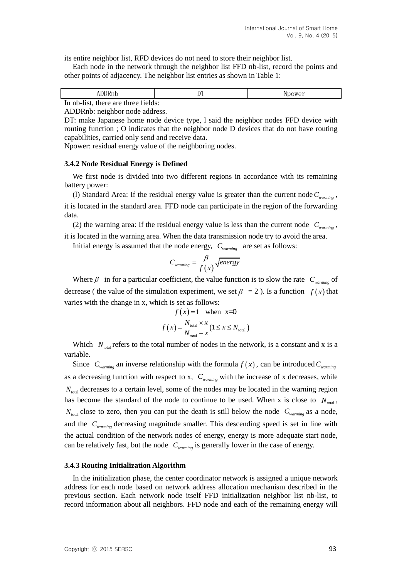its entire neighbor list, RFD devices do not need to store their neighbor list.

Each node in the network through the neighbor list FFD nb-list, record the points and other points of adjacency. The neighbor list entries as shown in Table 1:

| <b>JDDRnb</b>                       | nп | Npower |
|-------------------------------------|----|--------|
| In nb-list, there are three fields: |    |        |

ADDRnb: neighbor node address.

DT: make Japanese home node device type, l said the neighbor nodes FFD device with routing function ; O indicates that the neighbor node D devices that do not have routing capabilities, carried only send and receive data.

Npower: residual energy value of the neighboring nodes.

#### **3.4.2 Node Residual Energy is Defined**

We first node is divided into two different regions in accordance with its remaining battery power:

(l) Standard Area: If the residual energy value is greater than the current node *Cwarming* , it is located in the standard area. FFD node can participate in the region of the forwarding data.

(2) the warning area: If the residual energy value is less than the current node  $C_{warming}$ , it is located in the warning area. When the data transmission node try to avoid the area.

Initial energy is assumed that the node energy,  $C_{\text{warming}}$  are set as follows:

$$
C_{\text{warming}} = \frac{\beta}{f(x)} \sqrt{\text{energy}}
$$

Where  $\beta$  in for a particular coefficient, the value function is to slow the rate  $C_{\text{warming}}$  of decrease (the value of the simulation experiment, we set  $\beta = 2$ ). Is a function  $f(x)$  that varies with the change in x, which is set as follows:

$$
f(x) = 1 \quad \text{when} \quad x = 0
$$
\n
$$
f(x) = \frac{N_{\text{total}} \times x}{N_{\text{total}} - x} (1 \le x \le N_{\text{total}})
$$

Which  $N_{\text{total}}$  refers to the total number of nodes in the network, is a constant and x is a variable.

Since  $C_{\text{warming}}$  an inverse relationship with the formula  $f(x)$ , can be introduced  $C_{\text{warming}}$ as a decreasing function with respect to x, *Cwarming* with the increase of x decreases, while  $N<sub>total</sub>$  decreases to a certain level, some of the nodes may be located in the warning region has become the standard of the node to continue to be used. When x is close to  $N_{\text{total}}$ ,  $N_{\text{total}}$  close to zero, then you can put the death is still below the node  $C_{\text{warming}}$  as a node, and the  $C_{warming}$  decreasing magnitude smaller. This descending speed is set in line with the actual condition of the network nodes of energy, energy is more adequate start node, can be relatively fast, but the node *Cwarming* is generally lower in the case of energy.

#### **3.4.3 Routing Initialization Algorithm**

In the initialization phase, the center coordinator network is assigned a unique network address for each node based on network address allocation mechanism described in the previous section. Each network node itself FFD initialization neighbor list nb-list, to record information about all neighbors. FFD node and each of the remaining energy will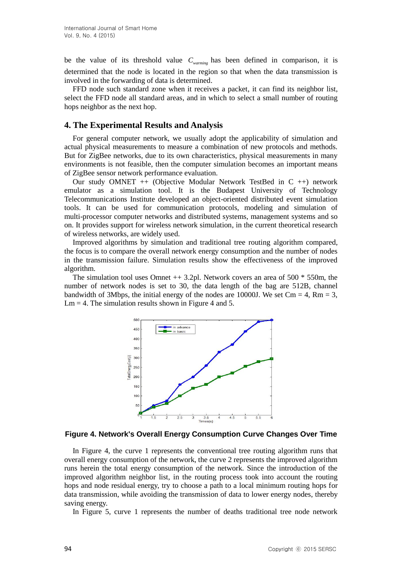be the value of its threshold value *Cwarming* has been defined in comparison, it is determined that the node is located in the region so that when the data transmission is involved in the forwarding of data is determined.

FFD node such standard zone when it receives a packet, it can find its neighbor list, select the FFD node all standard areas, and in which to select a small number of routing hops neighbor as the next hop.

### **4. The Experimental Results and Analysis**

For general computer network, we usually adopt the applicability of simulation and actual physical measurements to measure a combination of new protocols and methods. But for ZigBee networks, due to its own characteristics, physical measurements in many environments is not feasible, then the computer simulation becomes an important means of ZigBee sensor network performance evaluation.

Our study OMNET ++ (Objective Modular Network TestBed in C ++) network emulator as a simulation tool. It is the Budapest University of Technology Telecommunications Institute developed an object-oriented distributed event simulation tools. It can be used for communication protocols, modeling and simulation of multi-processor computer networks and distributed systems, management systems and so on. It provides support for wireless network simulation, in the current theoretical research of wireless networks, are widely used.

Improved algorithms by simulation and traditional tree routing algorithm compared, the focus is to compare the overall network energy consumption and the number of nodes in the transmission failure. Simulation results show the effectiveness of the improved algorithm.

The simulation tool uses Omnet  $++ 3.2$ pl. Network covers an area of 500  $*$  550m, the number of network nodes is set to 30, the data length of the bag are 512B, channel bandwidth of 3Mbps, the initial energy of the nodes are 10000J. We set  $Cm = 4$ ,  $Rm = 3$ ,  $Lm = 4$ . The simulation results shown in Figure 4 and 5.



#### **Figure 4. Network's Overall Energy Consumption Curve Changes Over Time**

In Figure 4, the curve 1 represents the conventional tree routing algorithm runs that overall energy consumption of the network, the curve 2 represents the improved algorithm runs herein the total energy consumption of the network. Since the introduction of the improved algorithm neighbor list, in the routing process took into account the routing hops and node residual energy, try to choose a path to a local minimum routing hops for data transmission, while avoiding the transmission of data to lower energy nodes, thereby saving energy.

In Figure 5, curve 1 represents the number of deaths traditional tree node network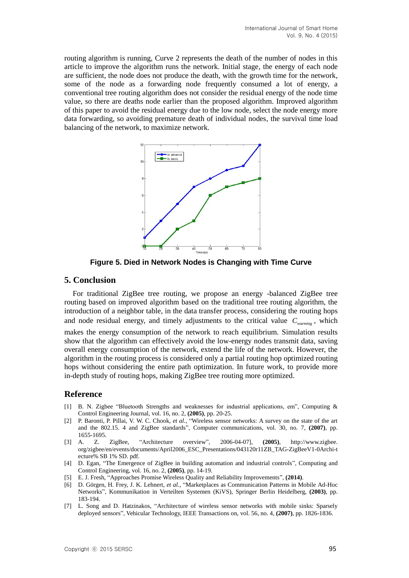routing algorithm is running, Curve 2 represents the death of the number of nodes in this article to improve the algorithm runs the network. Initial stage, the energy of each node are sufficient, the node does not produce the death, with the growth time for the network, some of the node as a forwarding node frequently consumed a lot of energy, a conventional tree routing algorithm does not consider the residual energy of the node time value, so there are deaths node earlier than the proposed algorithm. Improved algorithm of this paper to avoid the residual energy due to the low node, select the node energy more data forwarding, so avoiding premature death of individual nodes, the survival time load balancing of the network, to maximize network.



**Figure 5. Died in Network Nodes is Changing with Time Curve**

### **5. Conclusion**

For traditional ZigBee tree routing, we propose an energy -balanced ZigBee tree routing based on improved algorithm based on the traditional tree routing algorithm, the introduction of a neighbor table, in the data transfer process, considering the routing hops and node residual energy, and timely adjustments to the critical value  $C_{\text{warming}}$ , which makes the energy consumption of the network to reach equilibrium. Simulation results show that the algorithm can effectively avoid the low-energy nodes transmit data, saving overall energy consumption of the network, extend the life of the network. However, the algorithm in the routing process is considered only a partial routing hop optimized routing hops without considering the entire path optimization. In future work, to provide more in-depth study of routing hops, making ZigBee tree routing more optimized.

# **Reference**

- [1] B. N. Zigbee "Bluetooth Strengths and weaknesses for industrial applications, em", Computing & Control Engineering Journal, vol. 16, no. 2, **(2005)**, pp. 20-25.
- [2] P. Baronti, P. Pillai, V. W. C. Chook, *et al.*, "Wireless sensor networks: A survey on the state of the art and the 802.15. 4 and ZigBee standards", Computer communications, vol. 30, no. 7, **(2007)**, pp. 1655-1695.
- [3] A. Z. ZigBee, "Architecture overview", 2006-04-07], **(2005)**, http://www.zigbee. org/zigbee/en/events/documents/April2006\_ESC\_Presentations/043120r11ZB\_TAG-ZigBeeV1-0Archi-t ecture% SB 1% SD. pdf.
- [4] D. Egan, "The Emergence of ZigBee in building automation and industrial controls", Computing and Control Engineering, vol. 16, no. 2, **(2005)**, pp. 14-19.
- [5] E. J. Fresh, "Approaches Promise Wireless Quality and Reliability Improvements", **(2014)**.
- [6] D. Görgen, H. Frey, J. K. Lehnert, *et al.*, "Marketplaces as Communication Patterns in Mobile Ad-Hoc Networks", Kommunikation in Verteilten Systemen (KiVS), Springer Berlin Heidelberg, **(2003)**, pp. 183-194.
- [7] L. Song and D. Hatzinakos, "Architecture of wireless sensor networks with mobile sinks: Sparsely deployed sensors", Vehicular Technology, IEEE Transactions on, vol. 56, no. 4, **(2007)**, pp. 1826-1836.